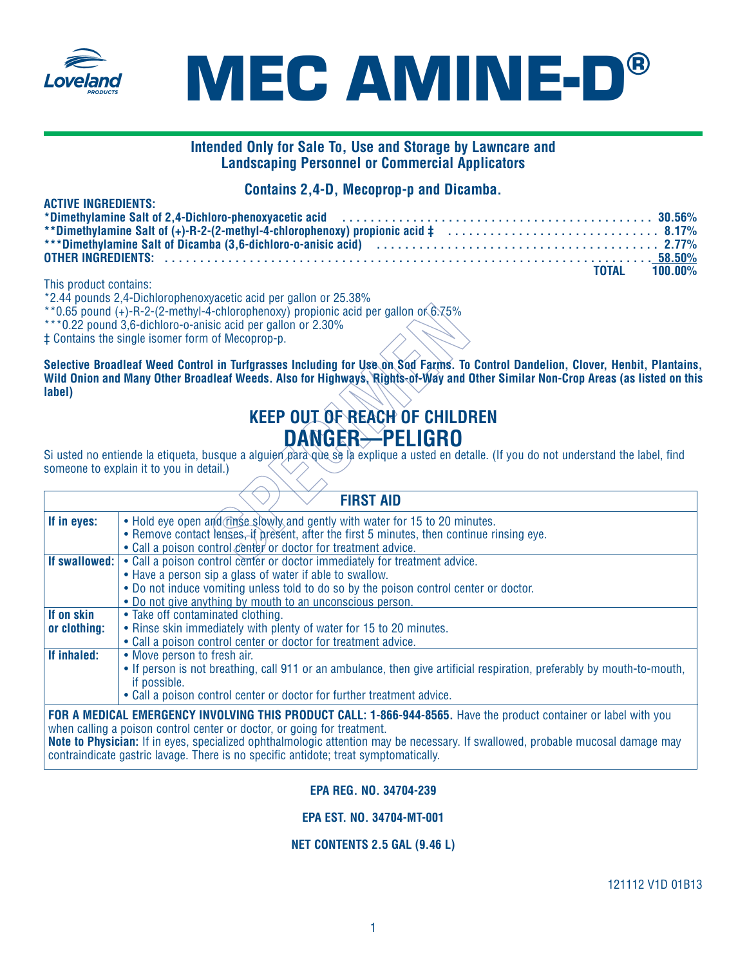



## **Intended Only for Sale To, Use and Storage by Lawncare and Landscaping Personnel or Commercial Applicators**

## **Contains 2,4-D, Mecoprop-p and Dicamba.**

| <b>ACTIVE INGREDIENTS:</b>                                                                                                                                                                                                     |                      |
|--------------------------------------------------------------------------------------------------------------------------------------------------------------------------------------------------------------------------------|----------------------|
|                                                                                                                                                                                                                                |                      |
|                                                                                                                                                                                                                                |                      |
| ***Dimethvlamine Salt of Dicamba (3,6-dichloro-o-anisic acid) (and the content of the content of the content of the content of the content of the content of the content of the content of the content of the content of the c |                      |
|                                                                                                                                                                                                                                |                      |
|                                                                                                                                                                                                                                | <b>TOTAL 100.00%</b> |

This product contains:

\*2.44 pounds 2,4-Dichlorophenoxyacetic acid per gallon or 25.38%

- \*\*0.65 pound (+)-R-2-(2-methyl-4-chlorophenoxy) propionic acid per gallon of  $6.75\%$
- \*\*\*0.22 pound 3,6-dichloro-o-anisic acid per gallon or 2.30%

# **KEEP OUT OF REACH OF CHILDREN DANGER—PELIGRO**

|                            | **0.65 pound (+)-R-2-(2-methyl-4-chlorophenoxy) propionic acid per gallon of 6.75%<br>***0.22 pound 3,6-dichloro-o-anisic acid per gallon or 2.30%<br>‡ Contains the single isomer form of Mecoprop-p.                                                                                       |
|----------------------------|----------------------------------------------------------------------------------------------------------------------------------------------------------------------------------------------------------------------------------------------------------------------------------------------|
| label)                     | Selective Broadleaf Weed Control in Turfgrasses Including for Use on Sod Farms. To Control Dandelion, Clover, Henbit, Plantains<br>Wild Onion and Many Other Broadleaf Weeds. Also for Highways, Rights-of-Way and Other Similar Non-Crop Areas (as listed on thi                            |
|                            | <b>KEEP OUT OF REACH OF CHILDREN</b>                                                                                                                                                                                                                                                         |
|                            | DANGER-PELIGRO                                                                                                                                                                                                                                                                               |
|                            | Si usted no entiende la etiqueta, busque a alguien para que se la explique a usted en detalle. (If you do not understand the label, find<br>someone to explain it to you in detail.)                                                                                                         |
|                            | <b>FIRST AID</b>                                                                                                                                                                                                                                                                             |
| If in eyes:                | • Hold eye open and rinse slowly and gently with water for 15 to 20 minutes.<br>• Remove contact lenses, it present, after the first 5 minutes, then continue rinsing eye.<br>• Call a poison control center or doctor for treatment advice.                                                 |
| If swallowed:              | • Call a poison control center or doctor immediately for treatment advice.<br>• Have a person sip a glass of water if able to swallow.<br>. Do not induce vomiting unless told to do so by the poison control center or doctor.<br>. Do not give anything by mouth to an unconscious person. |
| If on skin<br>or clothing: | • Take off contaminated clothing.<br>• Rinse skin immediately with plenty of water for 15 to 20 minutes.<br>• Call a poison control center or doctor for treatment advice.                                                                                                                   |
| If inhaled:                | • Move person to fresh air.<br>• If person is not breathing, call 911 or an ambulance, then give artificial respiration, preferably by mouth-to-mouth,<br>if possible.<br>• Call a poison control center or doctor for further treatment advice.                                             |
|                            | FOR A MEDICAL EMERGENCY INVOLVING THIS PRODUCT CALL: 1-866-944-8565. Have the product container or label with you                                                                                                                                                                            |

when calling a poison control center or doctor, or going for treatment. **Note to Physician:** If in eyes, specialized ophthalmologic attention may be necessary. If swallowed, probable mucosal damage may contraindicate gastric lavage. There is no specific antidote; treat symptomatically.

### **EPA REG. NO. 34704-239**

### **EPA EST. NO. 34704-MT-001**

### **NET CONTENTS 2.5 GAL (9.46 L)**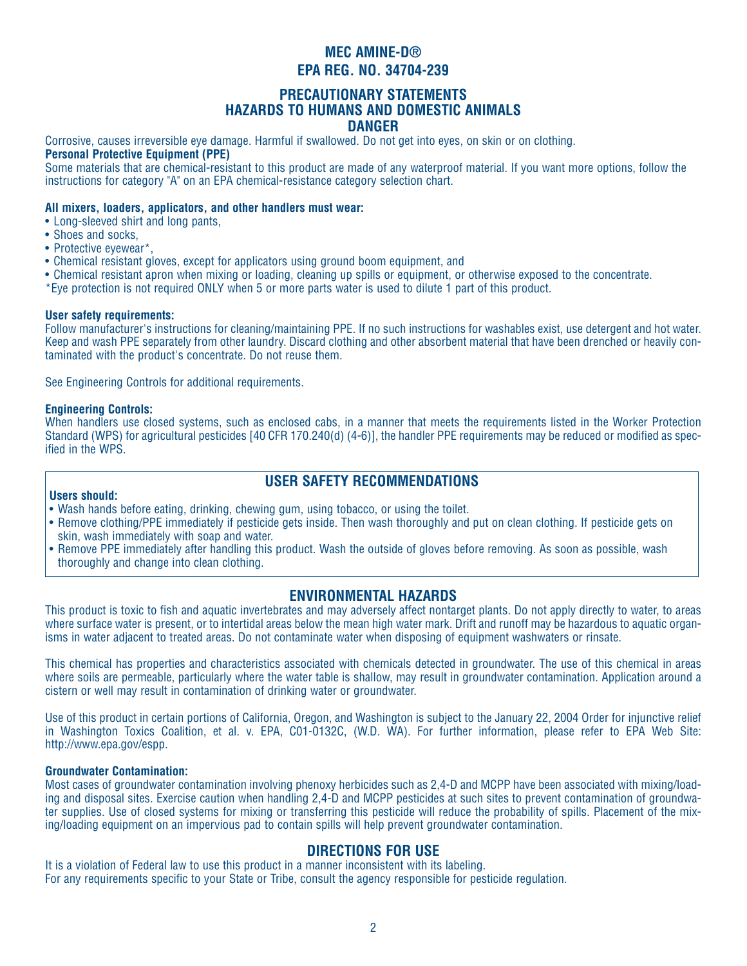## **PRECAUTIONARY STATEMENTS HAZARDS TO HUMANS AND DOMESTIC ANIMALS DANGER**

Corrosive, causes irreversible eye damage. Harmful if swallowed. Do not get into eyes, on skin or on clothing.

### **Personal Protective Equipment (PPE)**

Some materials that are chemical-resistant to this product are made of any waterproof material. If you want more options, follow the instructions for category "A" on an EPA chemical-resistance category selection chart.

### **All mixers, loaders, applicators, and other handlers must wear:**

- Long-sleeved shirt and long pants,
- Shoes and socks,
- Protective eyewear\*,
- Chemical resistant gloves, except for applicators using ground boom equipment, and
- Chemical resistant apron when mixing or loading, cleaning up spills or equipment, or otherwise exposed to the concentrate.
- \*Eye protection is not required ONLY when 5 or more parts water is used to dilute 1 part of this product.

### **User safety requirements:**

Follow manufacturer's instructions for cleaning/maintaining PPE. If no such instructions for washables exist, use detergent and hot water. Keep and wash PPE separately from other laundry. Discard clothing and other absorbent material that have been drenched or heavily contaminated with the product's concentrate. Do not reuse them.

See Engineering Controls for additional requirements.

### **Engineering Controls:**

When handlers use closed systems, such as enclosed cabs, in a manner that meets the requirements listed in the Worker Protection Standard (WPS) for agricultural pesticides [40 CFR 170.240(d) (4-6)], the handler PPE requirements may be reduced or modified as specified in the WPS.

## **USER SAFETY RECOMMENDATIONS**

### **Users should:**

- Wash hands before eating, drinking, chewing gum, using tobacco, or using the toilet.
- Remove clothing/PPE immediately if pesticide gets inside. Then wash thoroughly and put on clean clothing. If pesticide gets on skin, wash immediately with soap and water.
- Remove PPE immediately after handling this product. Wash the outside of gloves before removing. As soon as possible, wash thoroughly and change into clean clothing.

## **ENVIRONMENTAL HAZARDS**

This product is toxic to fish and aquatic invertebrates and may adversely affect nontarget plants. Do not apply directly to water, to areas where surface water is present, or to intertidal areas below the mean high water mark. Drift and runoff may be hazardous to aquatic organisms in water adjacent to treated areas. Do not contaminate water when disposing of equipment washwaters or rinsate.

This chemical has properties and characteristics associated with chemicals detected in groundwater. The use of this chemical in areas where soils are permeable, particularly where the water table is shallow, may result in groundwater contamination. Application around a cistern or well may result in contamination of drinking water or groundwater.

Use of this product in certain portions of California, Oregon, and Washington is subject to the January 22, 2004 Order for injunctive relief in Washington Toxics Coalition, et al. v. EPA, C01-0132C, (W.D. WA). For further information, please refer to EPA Web Site: http://www.epa.gov/espp.

### **Groundwater Contamination:**

Most cases of groundwater contamination involving phenoxy herbicides such as 2,4-D and MCPP have been associated with mixing/loading and disposal sites. Exercise caution when handling 2,4-D and MCPP pesticides at such sites to prevent contamination of groundwater supplies. Use of closed systems for mixing or transferring this pesticide will reduce the probability of spills. Placement of the mixing/loading equipment on an impervious pad to contain spills will help prevent groundwater contamination.

## **DIRECTIONS FOR USE**

It is a violation of Federal law to use this product in a manner inconsistent with its labeling. For any requirements specific to your State or Tribe, consult the agency responsible for pesticide regulation.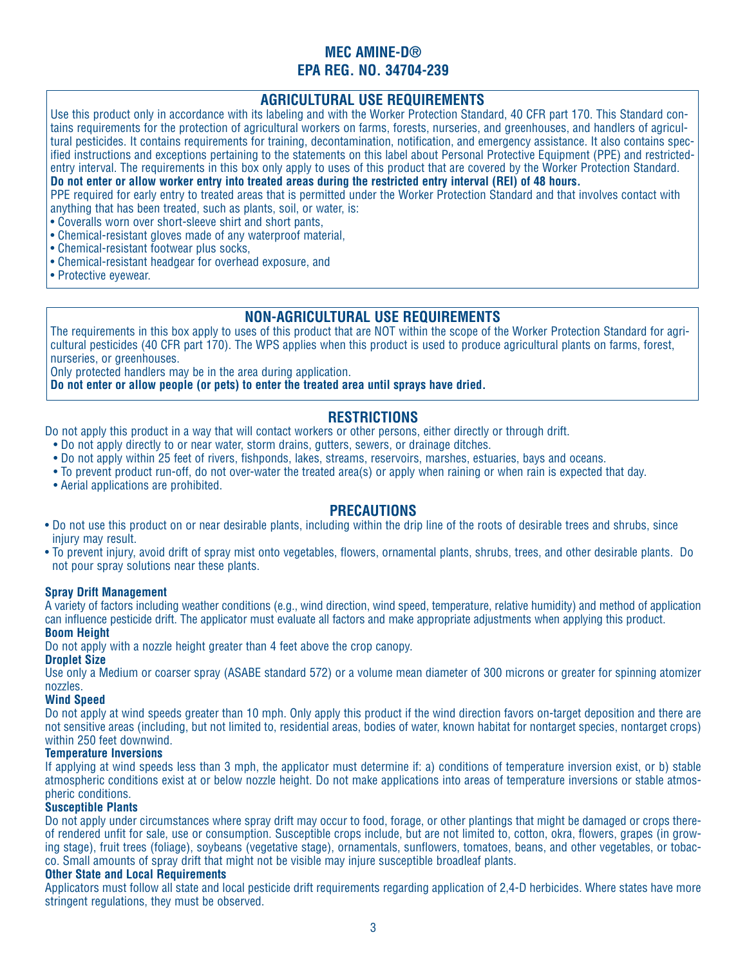## **AGRICULTURAL USE REQUIREMENTS**

Use this product only in accordance with its labeling and with the Worker Protection Standard, 40 CFR part 170. This Standard contains requirements for the protection of agricultural workers on farms, forests, nurseries, and greenhouses, and handlers of agricultural pesticides. It contains requirements for training, decontamination, notification, and emergency assistance. It also contains specified instructions and exceptions pertaining to the statements on this label about Personal Protective Equipment (PPE) and restrictedentry interval. The requirements in this box only apply to uses of this product that are covered by the Worker Protection Standard. **Do not enter or allow worker entry into treated areas during the restricted entry interval (REI) of 48 hours.** 

PPE required for early entry to treated areas that is permitted under the Worker Protection Standard and that involves contact with anything that has been treated, such as plants, soil, or water, is:

- Coveralls worn over short-sleeve shirt and short pants,
- Chemical-resistant gloves made of any waterproof material,
- Chemical-resistant footwear plus socks,
- Chemical-resistant headgear for overhead exposure, and
- Protective eyewear.

## **NON-AGRICULTURAL USE REQUIREMENTS**

The requirements in this box apply to uses of this product that are NOT within the scope of the Worker Protection Standard for agricultural pesticides (40 CFR part 170). The WPS applies when this product is used to produce agricultural plants on farms, forest, nurseries, or greenhouses.

Only protected handlers may be in the area during application.

**Do not enter or allow people (or pets) to enter the treated area until sprays have dried.**

## **RESTRICTIONS**

Do not apply this product in a way that will contact workers or other persons, either directly or through drift.

- Do not apply directly to or near water, storm drains, gutters, sewers, or drainage ditches.
- Do not apply within 25 feet of rivers, fishponds, lakes, streams, reservoirs, marshes, estuaries, bays and oceans.
- To prevent product run-off, do not over-water the treated area(s) or apply when raining or when rain is expected that day.
- Aerial applications are prohibited.

### **PRECAUTIONS**

- Do not use this product on or near desirable plants, including within the drip line of the roots of desirable trees and shrubs, since injury may result.
- To prevent injury, avoid drift of spray mist onto vegetables, flowers, ornamental plants, shrubs, trees, and other desirable plants. Do not pour spray solutions near these plants.

### **Spray Drift Management**

A variety of factors including weather conditions (e.g., wind direction, wind speed, temperature, relative humidity) and method of application can influence pesticide drift. The applicator must evaluate all factors and make appropriate adjustments when applying this product.

### **Boom Height**

Do not apply with a nozzle height greater than 4 feet above the crop canopy.

### **Droplet Size**

Use only a Medium or coarser spray (ASABE standard 572) or a volume mean diameter of 300 microns or greater for spinning atomizer nozzles.

### **Wind Speed**

Do not apply at wind speeds greater than 10 mph. Only apply this product if the wind direction favors on-target deposition and there are not sensitive areas (including, but not limited to, residential areas, bodies of water, known habitat for nontarget species, nontarget crops) within 250 feet downwind.

### **Temperature Inversions**

If applying at wind speeds less than 3 mph, the applicator must determine if: a) conditions of temperature inversion exist, or b) stable atmospheric conditions exist at or below nozzle height. Do not make applications into areas of temperature inversions or stable atmospheric conditions.

### **Susceptible Plants**

Do not apply under circumstances where spray drift may occur to food, forage, or other plantings that might be damaged or crops thereof rendered unfit for sale, use or consumption. Susceptible crops include, but are not limited to, cotton, okra, flowers, grapes (in growing stage), fruit trees (foliage), soybeans (vegetative stage), ornamentals, sunflowers, tomatoes, beans, and other vegetables, or tobacco. Small amounts of spray drift that might not be visible may injure susceptible broadleaf plants.

### **Other State and Local Requirements**

Applicators must follow all state and local pesticide drift requirements regarding application of 2,4-D herbicides. Where states have more stringent regulations, they must be observed.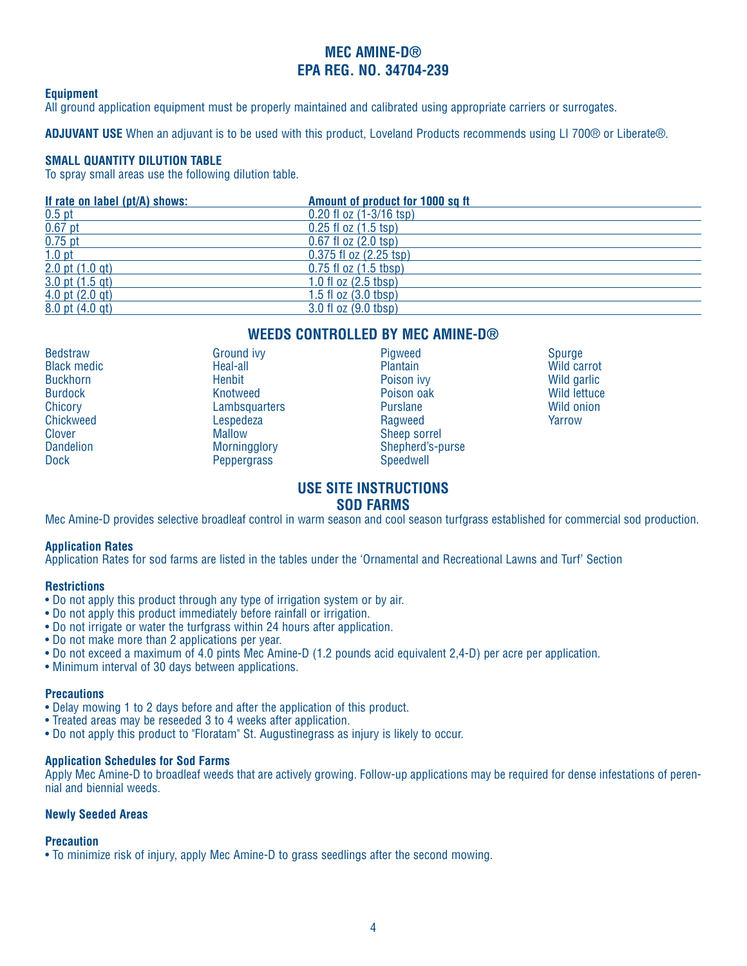### **Equipment**

All ground application equipment must be properly maintained and calibrated using appropriate carriers or surrogates.

**ADJUVANT USE** When an adjuvant is to be used with this product, Loveland Products recommends using LI 700® or Liberate®.

### **SMALL QUANTITY DILUTION TABLE**

To spray small areas use the following dilution table.

| If rate on label (pt/A) shows: | Amount of product for 1000 sq ft |
|--------------------------------|----------------------------------|
| $0.5$ pt                       | $0.20$ fl oz $(1-3/16$ tsp)      |
| $0.67$ pt                      | $0.25$ fl oz $(1.5$ tsp)         |
| $0.75$ pt                      | $0.67$ fl oz $(2.0$ tsp)         |
| 1.0 <sub>pt</sub>              | $0.375$ fl oz $(2.25$ tsp)       |
| 2.0 pt $(1.0$ gt)              | $0.75$ fl oz $(1.5$ tbsp)        |
| $3.0$ pt $(1.5$ gt)            | 1.0 fl $oz$ (2.5 tbsp)           |
| $4.0$ pt $(2.0$ gt)            | 1.5 fl $oz(3.0 tbsp)$            |
| $8.0$ pt $(4.0$ qt)            | 3.0 fl oz (9.0 tbsp)             |

## **WEEDS CONTROLLED BY MEC AMINE-D®**

**Bedstraw** Black medic **Buckhorn** Burdock **Chicory** Chickweed Clover Dandelion Dock

Ground ivy Heal-all Henbit Knotweed **Lambsquarters** Lespedeza **Mallow Morningglory Peppergrass** 

- **Piaweed Plantain** Poison ivy Poison oak Purslane Ragweed Sheep sorrel Shepherd's-purse Speedwell
- **Spurge** Wild carrot Wild garlic Wild lettuce Wild onion Yarrow

# **USE SITE INSTRUCTIONS**

## **SOD FARMS**

Mec Amine-D provides selective broadleaf control in warm season and cool season turfgrass established for commercial sod production.

### **Application Rates**

Application Rates for sod farms are listed in the tables under the 'Ornamental and Recreational Lawns and Turf' Section

### **Restrictions**

- Do not apply this product through any type of irrigation system or by air.
- Do not apply this product immediately before rainfall or irrigation.
- Do not irrigate or water the turfgrass within 24 hours after application.
- Do not make more than 2 applications per year.
- Do not exceed a maximum of 4.0 pints Mec Amine-D (1.2 pounds acid equivalent 2,4-D) per acre per application.
- Minimum interval of 30 days between applications.

### **Precautions**

- Delay mowing 1 to 2 days before and after the application of this product.
- Treated areas may be reseeded 3 to 4 weeks after application.
- Do not apply this product to "Floratam" St. Augustinegrass as injury is likely to occur.

### **Application Schedules for Sod Farms**

Apply Mec Amine-D to broadleaf weeds that are actively growing. Follow-up applications may be required for dense infestations of perennial and biennial weeds.

### **Newly Seeded Areas**

#### **Precaution**

• To minimize risk of injury, apply Mec Amine-D to grass seedlings after the second mowing.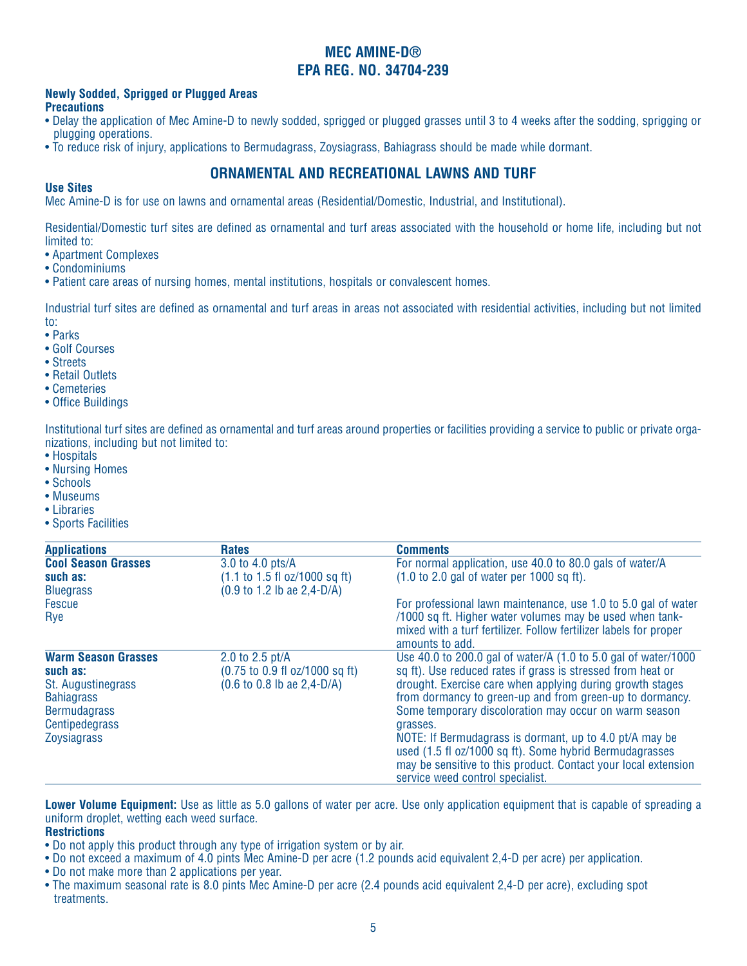### **Newly Sodded, Sprigged or Plugged Areas Precautions**

- Delay the application of Mec Amine-D to newly sodded, sprigged or plugged grasses until 3 to 4 weeks after the sodding, sprigging or plugging operations.
- To reduce risk of injury, applications to Bermudagrass, Zoysiagrass, Bahiagrass should be made while dormant.

# **ORNAMENTAL AND RECREATIONAL LAWNS AND TURF**

### **Use Sites**

Mec Amine-D is for use on lawns and ornamental areas (Residential/Domestic, Industrial, and Institutional).

Residential/Domestic turf sites are defined as ornamental and turf areas associated with the household or home life, including but not limited to:

- Apartment Complexes
- Condominiums
- Patient care areas of nursing homes, mental institutions, hospitals or convalescent homes.

Industrial turf sites are defined as ornamental and turf areas in areas not associated with residential activities, including but not limited to:

- Parks
- Golf Courses
- Streets
- Retail Outlets
- Cemeteries
- Office Buildings

Institutional turf sites are defined as ornamental and turf areas around properties or facilities providing a service to public or private organizations, including but not limited to:

- Hospitals
- Nursing Homes
- Schools
- Museums
- Libraries
- Sports Facilities

| <b>Applications</b>                                                                                                                              | <b>Rates</b>                                                                                                                                  | <b>Comments</b>                                                                                                                                                                                                                                                                                                                                                                                                                                                                                                                                         |
|--------------------------------------------------------------------------------------------------------------------------------------------------|-----------------------------------------------------------------------------------------------------------------------------------------------|---------------------------------------------------------------------------------------------------------------------------------------------------------------------------------------------------------------------------------------------------------------------------------------------------------------------------------------------------------------------------------------------------------------------------------------------------------------------------------------------------------------------------------------------------------|
| <b>Cool Season Grasses</b><br>such as:<br><b>Bluegrass</b>                                                                                       | 3.0 to 4.0 pts/A<br>$(1.1 \text{ to } 1.5 \text{ fl oz}/1000 \text{ sq ft})$<br>$(0.9 \text{ to } 1.2 \text{ lb} \text{ ae } 2,4-\text{D/A})$ | For normal application, use 40.0 to 80.0 gals of water/A<br>$(1.0 \text{ to } 2.0 \text{ gal of water per } 1000 \text{ sq ft}).$                                                                                                                                                                                                                                                                                                                                                                                                                       |
| <b>Fescue</b><br>Rye                                                                                                                             |                                                                                                                                               | For professional lawn maintenance, use 1.0 to 5.0 gal of water<br>/1000 sq ft. Higher water volumes may be used when tank-<br>mixed with a turf fertilizer. Follow fertilizer labels for proper<br>amounts to add.                                                                                                                                                                                                                                                                                                                                      |
| <b>Warm Season Grasses</b><br>such as:<br>St. Augustinegrass<br><b>Bahiagrass</b><br><b>Bermudagrass</b><br>Centipedegrass<br><b>Zoysiagrass</b> | 2.0 to 2.5 pt/A<br>(0.75 to 0.9 fl oz/1000 sq ft)<br>$(0.6 \text{ to } 0.8 \text{ lb} \text{ ae } 2,4-\text{D/A})$                            | Use 40.0 to 200.0 gal of water/A (1.0 to 5.0 gal of water/1000<br>sq ft). Use reduced rates if grass is stressed from heat or<br>drought. Exercise care when applying during growth stages<br>from dormancy to green-up and from green-up to dormancy.<br>Some temporary discoloration may occur on warm season<br>grasses.<br>NOTE: If Bermudagrass is dormant, up to 4.0 pt/A may be<br>used (1.5 fl oz/1000 sq ft). Some hybrid Bermudagrasses<br>may be sensitive to this product. Contact your local extension<br>service weed control specialist. |

**Lower Volume Equipment:** Use as little as 5.0 gallons of water per acre. Use only application equipment that is capable of spreading a uniform droplet, wetting each weed surface.

## **Restrictions**

- Do not apply this product through any type of irrigation system or by air.
- Do not exceed a maximum of 4.0 pints Mec Amine-D per acre (1.2 pounds acid equivalent 2,4-D per acre) per application.
- Do not make more than 2 applications per year.
- The maximum seasonal rate is 8.0 pints Mec Amine-D per acre (2.4 pounds acid equivalent 2,4-D per acre), excluding spot treatments.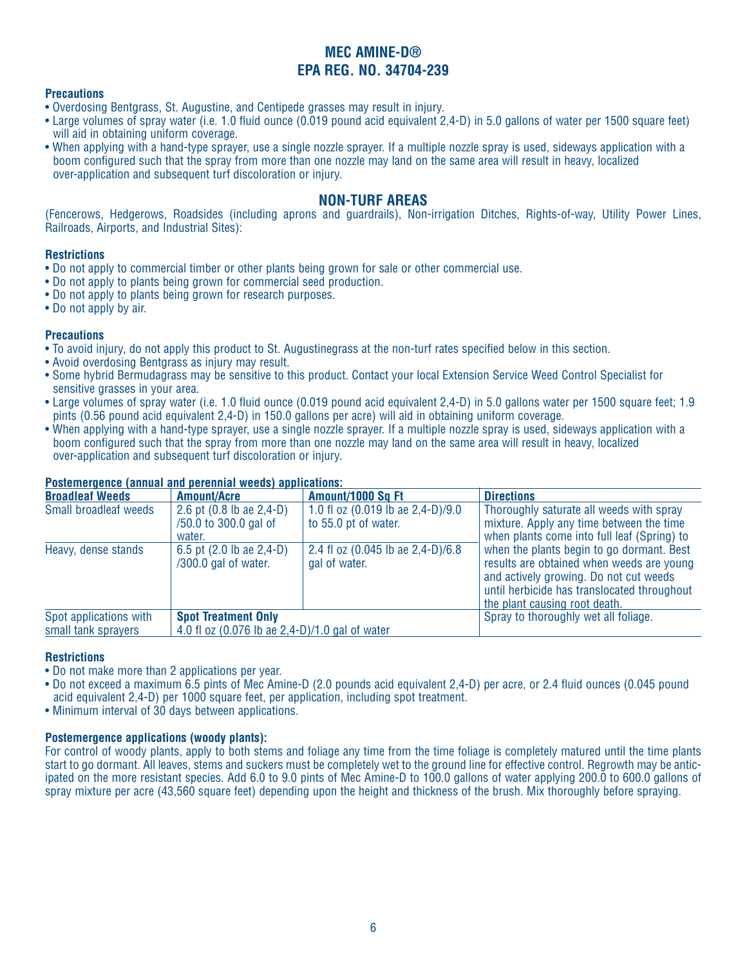### **Precautions**

- Overdosing Bentgrass, St. Augustine, and Centipede grasses may result in injury.
- Large volumes of spray water (i.e. 1.0 fluid ounce (0.019 pound acid equivalent 2,4-D) in 5.0 gallons of water per 1500 square feet) will aid in obtaining uniform coverage.
- When applying with a hand-type sprayer, use a single nozzle sprayer. If a multiple nozzle spray is used, sideways application with a boom configured such that the spray from more than one nozzle may land on the same area will result in heavy, localized over-application and subsequent turf discoloration or injury.

### **NON-TURF AREAS**

(Fencerows, Hedgerows, Roadsides (including aprons and guardrails), Non-irrigation Ditches, Rights-of-way, Utility Power Lines, Railroads, Airports, and Industrial Sites):

### **Restrictions**

- Do not apply to commercial timber or other plants being grown for sale or other commercial use.
- Do not apply to plants being grown for commercial seed production.
- Do not apply to plants being grown for research purposes.
- Do not apply by air.

### **Precautions**

- To avoid injury, do not apply this product to St. Augustinegrass at the non-turf rates specified below in this section.
- Avoid overdosing Bentgrass as injury may result.
- Some hybrid Bermudagrass may be sensitive to this product. Contact your local Extension Service Weed Control Specialist for sensitive grasses in your area.
- Large volumes of spray water (i.e. 1.0 fluid ounce (0.019 pound acid equivalent 2,4-D) in 5.0 gallons water per 1500 square feet; 1.9 pints (0.56 pound acid equivalent 2,4-D) in 150.0 gallons per acre) will aid in obtaining uniform coverage.
- When applying with a hand-type sprayer, use a single nozzle sprayer. If a multiple nozzle spray is used, sideways application with a boom configured such that the spray from more than one nozzle may land on the same area will result in heavy, localized over-application and subsequent turf discoloration or injury.

### **Postemergence (annual and perennial weeds) applications:**

| <b>Broadleaf Weeds</b> | <b>Amount/Acre</b>                                          | Amount/1000 Sq Ft                                              | <b>Directions</b>                                                                                                                                                                                                                                                                                                                                       |
|------------------------|-------------------------------------------------------------|----------------------------------------------------------------|---------------------------------------------------------------------------------------------------------------------------------------------------------------------------------------------------------------------------------------------------------------------------------------------------------------------------------------------------------|
| Small broadleaf weeds  | 2.6 pt (0.8 lb ae 2,4-D)<br>/50.0 to 300.0 gal of<br>water. | 1.0 fl oz $(0.019$ lb ae $2,4-D$ )/9.0<br>to 55.0 pt of water. | Thoroughly saturate all weeds with spray<br>mixture. Apply any time between the time<br>when plants come into full leaf (Spring) to<br>when the plants begin to go dormant. Best<br>results are obtained when weeds are young<br>and actively growing. Do not cut weeds<br>until herbicide has translocated throughout<br>the plant causing root death. |
| Heavy, dense stands    | 6.5 pt (2.0 lb ae 2,4-D)<br>/300.0 gal of water.            | 2.4 fl oz (0.045 lb ae 2,4-D)/6.8<br>gal of water.             |                                                                                                                                                                                                                                                                                                                                                         |
| Spot applications with | <b>Spot Treatment Only</b>                                  |                                                                | Spray to thoroughly wet all foliage.                                                                                                                                                                                                                                                                                                                    |
| small tank sprayers    | 4.0 fl oz (0.076 lb ae 2,4-D)/1.0 gal of water              |                                                                |                                                                                                                                                                                                                                                                                                                                                         |

### **Restrictions**

- Do not make more than 2 applications per year.
- Do not exceed a maximum 6.5 pints of Mec Amine-D (2.0 pounds acid equivalent 2,4-D) per acre, or 2.4 fluid ounces (0.045 pound acid equivalent 2,4-D) per 1000 square feet, per application, including spot treatment.
- Minimum interval of 30 days between applications.

### **Postemergence applications (woody plants):**

For control of woody plants, apply to both stems and foliage any time from the time foliage is completely matured until the time plants start to go dormant. All leaves, stems and suckers must be completely wet to the ground line for effective control. Regrowth may be anticipated on the more resistant species. Add 6.0 to 9.0 pints of Mec Amine-D to 100.0 gallons of water applying 200.0 to 600.0 gallons of spray mixture per acre (43,560 square feet) depending upon the height and thickness of the brush. Mix thoroughly before spraying.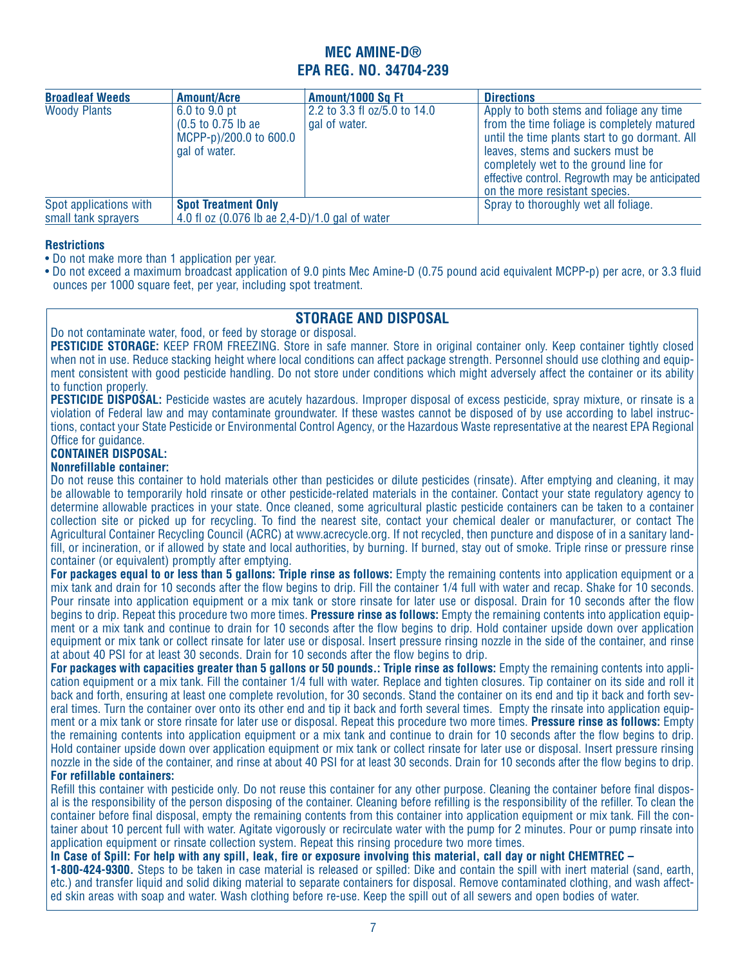| <b>Broadleaf Weeds</b> | <b>Amount/Acre</b>                                                                                         | Amount/1000 Sq Ft                             | <b>Directions</b>                                                                                                                                                                                                                                                                                           |
|------------------------|------------------------------------------------------------------------------------------------------------|-----------------------------------------------|-------------------------------------------------------------------------------------------------------------------------------------------------------------------------------------------------------------------------------------------------------------------------------------------------------------|
| <b>Woody Plants</b>    | 6.0 to 9.0 pt<br>$(0.5 \text{ to } 0.75 \text{ lb} \text{ ae})$<br>MCPP-p)/200.0 to 600.0<br>gal of water. | 2.2 to 3.3 fl oz/5.0 to 14.0<br>gal of water. | Apply to both stems and foliage any time<br>from the time foliage is completely matured<br>until the time plants start to go dormant. All<br>leaves, stems and suckers must be<br>completely wet to the ground line for<br>effective control. Regrowth may be anticipated<br>on the more resistant species. |
| Spot applications with | <b>Spot Treatment Only</b>                                                                                 |                                               | Spray to thoroughly wet all foliage.                                                                                                                                                                                                                                                                        |
| small tank sprayers    | 4.0 fl oz (0.076 lb ae 2,4-D)/1.0 gal of water                                                             |                                               |                                                                                                                                                                                                                                                                                                             |

### **Restrictions**

- Do not make more than 1 application per year.
- Do not exceed a maximum broadcast application of 9.0 pints Mec Amine-D (0.75 pound acid equivalent MCPP-p) per acre, or 3.3 fluid ounces per 1000 square feet, per year, including spot treatment.

## **STORAGE AND DISPOSAL**

Do not contaminate water, food, or feed by storage or disposal.

**PESTICIDE STORAGE:** KEEP FROM FREEZING. Store in safe manner. Store in original container only. Keep container tightly closed when not in use. Reduce stacking height where local conditions can affect package strength. Personnel should use clothing and equipment consistent with good pesticide handling. Do not store under conditions which might adversely affect the container or its ability to function properly.

**PESTICIDE DISPOSAL:** Pesticide wastes are acutely hazardous. Improper disposal of excess pesticide, spray mixture, or rinsate is a violation of Federal law and may contaminate groundwater. If these wastes cannot be disposed of by use according to label instructions, contact your State Pesticide or Environmental Control Agency, or the Hazardous Waste representative at the nearest EPA Regional Office for guidance.

## **CONTAINER DISPOSAL:**

### **Nonrefillable container:**

Do not reuse this container to hold materials other than pesticides or dilute pesticides (rinsate). After emptying and cleaning, it may be allowable to temporarily hold rinsate or other pesticide-related materials in the container. Contact your state regulatory agency to determine allowable practices in your state. Once cleaned, some agricultural plastic pesticide containers can be taken to a container collection site or picked up for recycling. To find the nearest site, contact your chemical dealer or manufacturer, or contact The Agricultural Container Recycling Council (ACRC) at www.acrecycle.org. If not recycled, then puncture and dispose of in a sanitary landfill, or incineration, or if allowed by state and local authorities, by burning. If burned, stay out of smoke. Triple rinse or pressure rinse container (or equivalent) promptly after emptying.

For packages equal to or less than 5 gallons: Triple rinse as follows: Empty the remaining contents into application equipment or a mix tank and drain for 10 seconds after the flow begins to drip. Fill the container 1/4 full with water and recap. Shake for 10 seconds. Pour rinsate into application equipment or a mix tank or store rinsate for later use or disposal. Drain for 10 seconds after the flow begins to drip. Repeat this procedure two more times. **Pressure rinse as follows:** Empty the remaining contents into application equipment or a mix tank and continue to drain for 10 seconds after the flow begins to drip. Hold container upside down over application equipment or mix tank or collect rinsate for later use or disposal. Insert pressure rinsing nozzle in the side of the container, and rinse at about 40 PSI for at least 30 seconds. Drain for 10 seconds after the flow begins to drip.

**For packages with capacities greater than 5 gallons or 50 pounds.: Triple rinse as follows:** Empty the remaining contents into application equipment or a mix tank. Fill the container 1/4 full with water. Replace and tighten closures. Tip container on its side and roll it back and forth, ensuring at least one complete revolution, for 30 seconds. Stand the container on its end and tip it back and forth several times. Turn the container over onto its other end and tip it back and forth several times. Empty the rinsate into application equipment or a mix tank or store rinsate for later use or disposal. Repeat this procedure two more times. **Pressure rinse as follows:** Empty the remaining contents into application equipment or a mix tank and continue to drain for 10 seconds after the flow begins to drip. Hold container upside down over application equipment or mix tank or collect rinsate for later use or disposal. Insert pressure rinsing nozzle in the side of the container, and rinse at about 40 PSI for at least 30 seconds. Drain for 10 seconds after the flow begins to drip. **For refillable containers:** 

Refill this container with pesticide only. Do not reuse this container for any other purpose. Cleaning the container before final disposal is the responsibility of the person disposing of the container. Cleaning before refilling is the responsibility of the refiller. To clean the container before final disposal, empty the remaining contents from this container into application equipment or mix tank. Fill the container about 10 percent full with water. Agitate vigorously or recirculate water with the pump for 2 minutes. Pour or pump rinsate into application equipment or rinsate collection system. Repeat this rinsing procedure two more times.

**In Case of Spill: For help with any spill, leak, fire or exposure involving this material, call day or night CHEMTREC –** 

**1-800-424-9300.** Steps to be taken in case material is released or spilled: Dike and contain the spill with inert material (sand, earth, etc.) and transfer liquid and solid diking material to separate containers for disposal. Remove contaminated clothing, and wash affected skin areas with soap and water. Wash clothing before re-use. Keep the spill out of all sewers and open bodies of water.